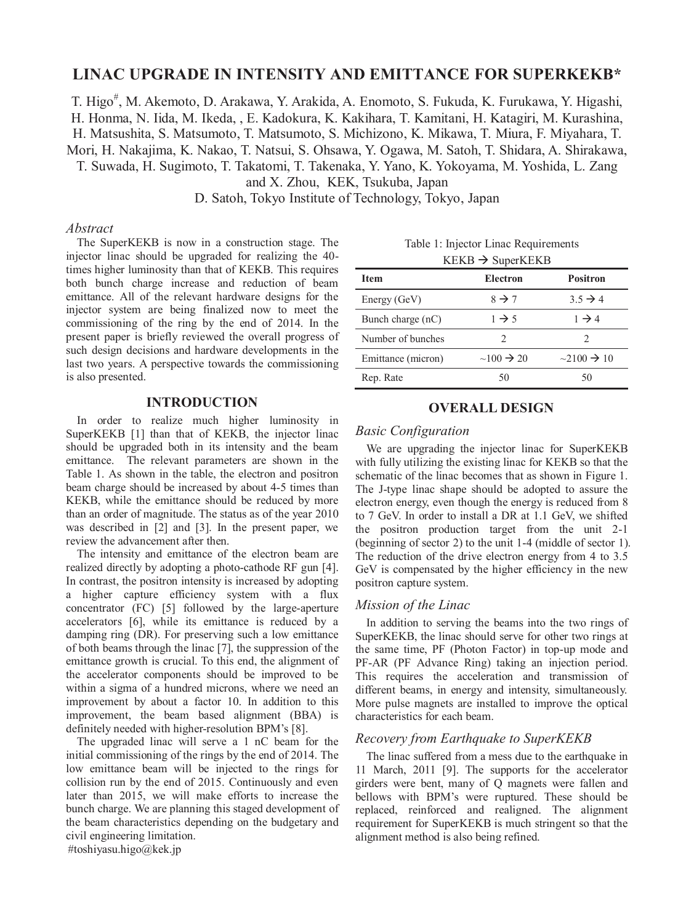# **LINAC UPGRADE IN INTENSITY AND EMITTANCE FOR SUPERKEKB\***

T. Higo<sup>#</sup>, M. Akemoto, D. Arakawa, Y. Arakida, A. Enomoto, S. Fukuda, K. Furukawa, Y. Higashi, H. Honma, N. Iida, M. Ikeda, , E. Kadokura, K. Kakihara, T. Kamitani, H. Katagiri, M. Kurashina, H. Matsushita, S. Matsumoto, T. Matsumoto, S. Michizono, K. Mikawa, T. Miura, F. Miyahara, T. Mori, H. Nakajima, K. Nakao, T. Natsui, S. Ohsawa, Y. Ogawa, M. Satoh, T. Shidara, A. Shirakawa, T. Suwada, H. Sugimoto, T. Takatomi, T. Takenaka, Y. Yano, K. Yokoyama, M. Yoshida, L. Zang and X. Zhou, KEK, Tsukuba, Japan

D. Satoh, Tokyo Institute of Technology, Tokyo, Japan

#### *Abstract*

The SuperKEKB is now in a construction stage. The injector linac should be upgraded for realizing the 40 times higher luminosity than that of KEKB. This requires both bunch charge increase and reduction of beam emittance. All of the relevant hardware designs for the injector system are being finalized now to meet the commissioning of the ring by the end of 2014. In the present paper is briefly reviewed the overall progress of such design decisions and hardware developments in the last two years. A perspective towards the commissioning is also presented.

### **INTRODUCTION**

In order to realize much higher luminosity in SuperKEKB [1] than that of KEKB, the injector linac should be upgraded both in its intensity and the beam emittance. The relevant parameters are shown in the Table 1. As shown in the table, the electron and positron beam charge should be increased by about 4-5 times than KEKB, while the emittance should be reduced by more than an order of magnitude. The status as of the year 2010 was described in [2] and [3]. In the present paper, we review the advancement after then.

The intensity and emittance of the electron beam are realized directly by adopting a photo-cathode RF gun [4]. In contrast, the positron intensity is increased by adopting a higher capture efficiency system with a flux concentrator (FC) [5] followed by the large-aperture accelerators [6], while its emittance is reduced by a damping ring (DR). For preserving such a low emittance of both beams through the linac [7], the suppression of the emittance growth is crucial. To this end, the alignment of the accelerator components should be improved to be within a sigma of a hundred microns, where we need an improvement by about a factor 10. In addition to this improvement, the beam based alignment (BBA) is definitely needed with higher-resolution BPM's [8].

The upgraded linac will serve a 1 nC beam for the initial commissioning of the rings by the end of 2014. The low emittance beam will be injected to the rings for collision run by the end of 2015. Continuously and even later than 2015, we will make efforts to increase the bunch charge. We are planning this staged development of the beam characteristics depending on the budgetary and civil engineering limitation.

#toshiyasu.higo@kek.jp

Table 1: Injector Linac Requirements

| $KEKB \rightarrow SuperKEKB$ |                           |                              |  |
|------------------------------|---------------------------|------------------------------|--|
| <b>Item</b>                  | Electron                  | <b>Positron</b>              |  |
| Energy (GeV)                 | $8 \rightarrow 7$         | $3.5 \rightarrow 4$          |  |
| Bunch charge (nC)            | $1 \rightarrow 5$         | $1 \rightarrow 4$            |  |
| Number of bunches            | 2                         |                              |  |
| Emittance (micron)           | $\sim 100 \rightarrow 20$ | $\sim$ 2100 $\rightarrow$ 10 |  |
| Rep. Rate                    | 50                        | 50                           |  |

### **OVERALL DESIGN**

## *Basic Configuration*

We are upgrading the injector linac for SuperKEKB with fully utilizing the existing linac for KEKB so that the schematic of the linac becomes that as shown in Figure 1. The J-type linac shape should be adopted to assure the electron energy, even though the energy is reduced from 8 to 7 GeV. In order to install a DR at 1.1 GeV, we shifted the positron production target from the unit 2-1 (beginning of sector 2) to the unit 1-4 (middle of sector 1). The reduction of the drive electron energy from 4 to 3.5 GeV is compensated by the higher efficiency in the new positron capture system.

### *Mission of the Linac*

In addition to serving the beams into the two rings of SuperKEKB, the linac should serve for other two rings at the same time, PF (Photon Factor) in top-up mode and PF-AR (PF Advance Ring) taking an injection period. This requires the acceleration and transmission of different beams, in energy and intensity, simultaneously. More pulse magnets are installed to improve the optical characteristics for each beam.

### *Recovery from Earthquake to SuperKEKB*

The linac suffered from a mess due to the earthquake in 11 March, 2011 [9]. The supports for the accelerator girders were bent, many of Q magnets were fallen and bellows with BPM's were ruptured. These should be replaced, reinforced and realigned. The alignment requirement for SuperKEKB is much stringent so that the alignment method is also being refined.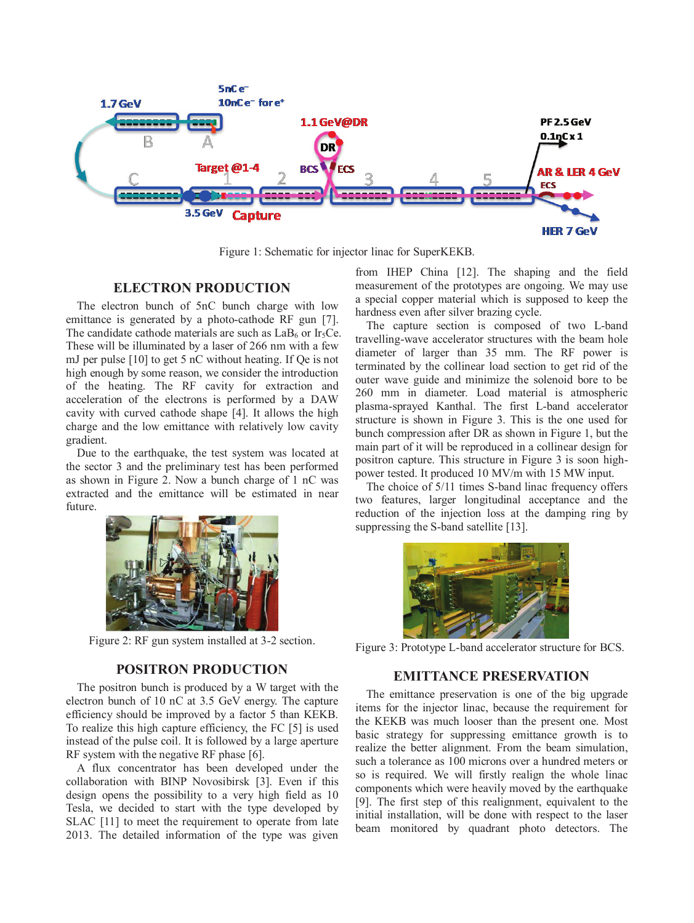

Figure 1: Schematic for injector linac for SuperKEKB.

# **ELECTRON PRODUCTION**

The electron bunch of 5nC bunch charge with low emittance is generated by a photo-cathode RF gun [7]. The candidate cathode materials are such as  $LaB<sub>6</sub>$  or Ir<sub>5</sub>Ce. These will be illuminated by a laser of 266 nm with a few mJ per pulse [10] to get 5 nC without heating. If Qe is not high enough by some reason, we consider the introduction of the heating. The RF cavity for extraction and acceleration of the electrons is performed by a DAW cavity with curved cathode shape [4]. It allows the high charge and the low emittance with relatively low cavity gradient.

Due to the earthquake, the test system was located at the sector 3 and the preliminary test has been performed as shown in Figure 2. Now a bunch charge of 1 nC was extracted and the emittance will be estimated in near future.



Figure 2: RF gun system installed at 3-2 section.

### **POSITRON PRODUCTION**

The positron bunch is produced by a W target with the electron bunch of 10 nC at 3.5 GeV energy. The capture efficiency should be improved by a factor 5 than KEKB. To realize this high capture efficiency, the FC [5] is used instead of the pulse coil. It is followed by a large aperture RF system with the negative RF phase [6].

A flux concentrator has been developed under the collaboration with BINP Novosibirsk [3]. Even if this design opens the possibility to a very high field as 10 Tesla, we decided to start with the type developed by SLAC [11] to meet the requirement to operate from late 2013. The detailed information of the type was given

from IHEP China [12]. The shaping and the field measurement of the prototypes are ongoing. We may use a special copper material which is supposed to keep the hardness even after silver brazing cycle.

The capture section is composed of two L-band travelling-wave accelerator structures with the beam hole diameter of larger than 35 mm. The RF power is terminated by the collinear load section to get rid of the outer wave guide and minimize the solenoid bore to be 260 mm in diameter. Load material is atmospheric plasma-sprayed Kanthal. The first L-band accelerator structure is shown in Figure 3. This is the one used for bunch compression after DR as shown in Figure 1, but the main part of it will be reproduced in a collinear design for positron capture. This structure in Figure 3 is soon highpower tested. It produced 10 MV/m with 15 MW input.

The choice of 5/11 times S-band linac frequency offers two features, larger longitudinal acceptance and the reduction of the injection loss at the damping ring by suppressing the S-band satellite [13].



Figure 3: Prototype L-band accelerator structure for BCS.

### **EMITTANCE PRESERVATION**

The emittance preservation is one of the big upgrade items for the injector linac, because the requirement for the KEKB was much looser than the present one. Most basic strategy for suppressing emittance growth is to realize the better alignment. From the beam simulation, such a tolerance as 100 microns over a hundred meters or so is required. We will firstly realign the whole linac components which were heavily moved by the earthquake [9]. The first step of this realignment, equivalent to the initial installation, will be done with respect to the laser beam monitored by quadrant photo detectors. The